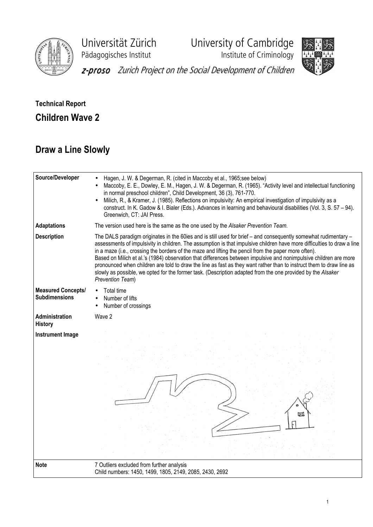

Universität Zürich University of Cambridge

Pädagogisches Institut **Institute of Criminology** 



z-proso Zurich Project on the Social Development of Children

## Technical Report Children Wave 2

## Draw a Line Slowly

| Source/Developer                                  | Hagen, J. W. & Degerman, R. (cited in Maccoby et al., 1965;see below)<br>Maccoby, E. E., Dowley, E. M., Hagen, J. W. & Degerman, R. (1965). "Activity level and intellectual functioning<br>in normal preschool children", Child Development, 36 (3), 761-770.<br>Milich, R., & Kramer, J. (1985). Reflections on impulsivity: An empirical investigation of impulsivity as a<br>construct. In K. Gadow & I. Bialer (Eds.). Advances in learning and behavioural disabilities (Vol. 3, S. 57 – 94).<br>Greenwich, CT: JAI Press.                                                                                                                                                                                                   |
|---------------------------------------------------|------------------------------------------------------------------------------------------------------------------------------------------------------------------------------------------------------------------------------------------------------------------------------------------------------------------------------------------------------------------------------------------------------------------------------------------------------------------------------------------------------------------------------------------------------------------------------------------------------------------------------------------------------------------------------------------------------------------------------------|
| <b>Adaptations</b>                                | The version used here is the same as the one used by the Alsaker Prevention Team.                                                                                                                                                                                                                                                                                                                                                                                                                                                                                                                                                                                                                                                  |
| <b>Description</b>                                | The DALS paradigm originates in the 60ies and is still used for brief - and consequently somewhat rudimentary -<br>assessments of impulsivity in children. The assumption is that impulsive children have more difficulties to draw a line<br>in a maze (i.e., crossing the borders of the maze and lifting the pencil from the paper more often).<br>Based on Milich et al.'s (1984) observation that differences between impulsive and nonimpulsive children are more<br>pronounced when children are told to draw the line as fast as they want rather than to instruct them to draw line as<br>slowly as possible, we opted for the former task. (Description adapted from the one provided by the Alsaker<br>Prevention Team) |
| <b>Measured Concepts/</b><br><b>Subdimensions</b> | Total time<br>Number of lifts<br>Number of crossings                                                                                                                                                                                                                                                                                                                                                                                                                                                                                                                                                                                                                                                                               |
| Administration<br><b>History</b>                  | Wave 2                                                                                                                                                                                                                                                                                                                                                                                                                                                                                                                                                                                                                                                                                                                             |
| <b>Instrument Image</b>                           | 网                                                                                                                                                                                                                                                                                                                                                                                                                                                                                                                                                                                                                                                                                                                                  |
| <b>Note</b>                                       | 7 Outliers excluded from further analysis<br>Child numbers: 1450, 1499, 1805, 2149, 2085, 2430, 2692                                                                                                                                                                                                                                                                                                                                                                                                                                                                                                                                                                                                                               |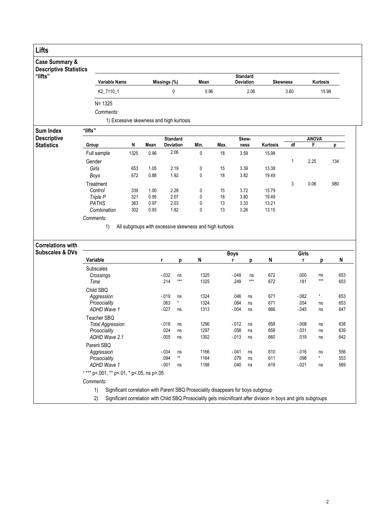| Lifts                                                      |                                            |            |                                         |                 |                 |                                                                                                                   |      |                                     |                         |                |                 |              |            |
|------------------------------------------------------------|--------------------------------------------|------------|-----------------------------------------|-----------------|-----------------|-------------------------------------------------------------------------------------------------------------------|------|-------------------------------------|-------------------------|----------------|-----------------|--------------|------------|
| <b>Case Summary &amp;</b><br><b>Descriptive Statistics</b> |                                            |            |                                         |                 |                 |                                                                                                                   |      |                                     |                         |                |                 |              |            |
| "lifts"                                                    | Variable Name                              |            |                                         | Missings (%)    |                 | Mean                                                                                                              |      | <b>Standard</b><br><b>Deviation</b> |                         |                | <b>Skewness</b> | Kurtosis     |            |
|                                                            | K2_7110_1                                  |            |                                         |                 | $\pmb{0}$       | 0.96                                                                                                              |      |                                     | 2.06                    |                | 3.60            |              | 15.98      |
|                                                            | $N = 1325$                                 |            |                                         |                 |                 |                                                                                                                   |      |                                     |                         |                |                 |              |            |
|                                                            | Comments:                                  |            |                                         |                 |                 |                                                                                                                   |      |                                     |                         |                |                 |              |            |
|                                                            |                                            |            | 1) Excessive skewness and high kurtosis |                 |                 |                                                                                                                   |      |                                     |                         |                |                 |              |            |
| Sum Index                                                  | "lifts"                                    |            |                                         |                 |                 |                                                                                                                   |      |                                     |                         |                |                 |              |            |
| <b>Descriptive</b>                                         |                                            |            |                                         |                 | <b>Standard</b> |                                                                                                                   |      |                                     | Skew-                   |                |                 | <b>ANOVA</b> |            |
| <b>Statistics</b>                                          | Group                                      | N          | Mean                                    |                 | Deviation       | Min.                                                                                                              | Max. |                                     | ness                    | Kurtosis       | $\overline{df}$ | F            | р          |
|                                                            | Full sample                                | 1325       | 0.96                                    |                 | 2.06            | $\mathbf 0$                                                                                                       | 18   | 3.59                                |                         | 15.98          |                 |              |            |
|                                                            | Gender                                     |            |                                         |                 |                 |                                                                                                                   |      |                                     |                         |                | 1               | 2.25         | .134       |
|                                                            | Girls                                      | 653        | 1.05                                    |                 | 2.19            | 0                                                                                                                 | 15   | 3.39                                |                         | 13.38          |                 |              |            |
|                                                            | Boys                                       | 672        | 0.88                                    |                 | 1.92            | 0                                                                                                                 | 18   | 3.82                                |                         | 19.49          |                 |              |            |
|                                                            | Treatment<br>Control                       |            | 1.00                                    |                 | 2.28            |                                                                                                                   | 15   | 3.72                                |                         |                | 3               | 0.06         | .980       |
|                                                            | Triple P                                   | 339<br>321 | 0.95                                    |                 | 2.07            | 0<br>0                                                                                                            | 18   | 3.80                                |                         | 15.79<br>19.49 |                 |              |            |
|                                                            | <b>PATHS</b>                               | 363        | 0.97                                    |                 | 2.03            | 0                                                                                                                 | 13   | 3.33                                |                         | 13.21          |                 |              |            |
|                                                            | Combination                                | 302        | 0.93                                    |                 | 1.82            | 0                                                                                                                 | 13   | 3.26                                |                         | 13.15          |                 |              |            |
|                                                            | Comments:                                  |            |                                         |                 |                 |                                                                                                                   |      |                                     |                         |                |                 |              |            |
| <b>Correlations with</b><br><b>Subscales &amp; DVs</b>     | 1)                                         |            |                                         |                 |                 | All subgroups with excessive skewness and high kurtosis                                                           |      | <b>Boys</b>                         |                         |                |                 | Girls        |            |
|                                                            | Variable                                   |            |                                         | r               | р               | N                                                                                                                 |      | r                                   | р                       | N              |                 | r<br>р       | N          |
|                                                            | <b>Subscales</b>                           |            |                                         |                 |                 |                                                                                                                   |      |                                     |                         |                |                 |              |            |
|                                                            | Crossings                                  |            |                                         | $-032$          | ns              | 1325                                                                                                              |      | $-049$                              | ns                      | 672            | .000            | ns           | 653        |
|                                                            | Time                                       |            |                                         | .214            | $***$           | 1325                                                                                                              |      | .249                                | $***$                   | 672            | .181            | $***$        | 653        |
|                                                            | Child SBQ                                  |            |                                         |                 |                 |                                                                                                                   |      |                                     |                         |                |                 |              |            |
|                                                            | Aggression                                 |            |                                         | $-0.19$<br>.063 | ns<br>$\star$   | 1324<br>1324                                                                                                      |      | .046<br>.064                        | ns                      | 671<br>671     | $-082$<br>.054  | *            | 653<br>653 |
|                                                            | Prosociality<br>ADHD Wave 1                |            |                                         | $-027$          | ns              | 1313                                                                                                              |      | $-004$                              | ns<br>ns                | 666            | $-0.045$        | ns<br>ns     | 647        |
|                                                            | Teacher SBQ                                |            |                                         |                 |                 |                                                                                                                   |      |                                     |                         |                |                 |              |            |
|                                                            | <b>Total Aggression</b>                    |            |                                         | .016            | ns              | 1296                                                                                                              |      | $-012$                              | $\operatorname{\sf ns}$ | 658            | $-008$          | ns           | 638        |
|                                                            | Prosociality                               |            |                                         | .024            | ns              | 1297                                                                                                              |      | .058                                | ns                      | 658            | $-0.31$         | ns           | 639        |
|                                                            | ADHD Wave 2.1                              |            |                                         | $-0.005$        | ns              | 1302                                                                                                              |      | $-013$                              | ns                      | 660            | .019            | ns           | 642        |
|                                                            | Parent SBQ                                 |            |                                         |                 |                 |                                                                                                                   |      |                                     |                         |                |                 |              |            |
|                                                            | Aggression                                 |            |                                         | $-0.34$         | ns              | 1166                                                                                                              |      | $-041$                              | ns                      | 610            | $-0.16$         | ns           | 556        |
|                                                            | Prosociality                               |            |                                         | .094            | $^{\star\star}$ | 1164                                                                                                              |      | .079                                | ns                      | 611            | .098            | ×            | 553        |
|                                                            | ADHD Wave 1                                |            |                                         | $-.001$         | ns              | 1188                                                                                                              |      | .040                                | ns                      | 619            | $-021$          | ns           | 569        |
|                                                            | $1***$ p<.001, ** p<.01, * p<.05, ns p>.05 |            |                                         |                 |                 |                                                                                                                   |      |                                     |                         |                |                 |              |            |
|                                                            | Comments:                                  |            |                                         |                 |                 |                                                                                                                   |      |                                     |                         |                |                 |              |            |
|                                                            | 1)                                         |            |                                         |                 |                 | Significant correlation with Parent SBQ Prosociality disappears for boys subgroup                                 |      |                                     |                         |                |                 |              |            |
|                                                            | 2)                                         |            |                                         |                 |                 | Significant correlation with Child SBQ Prosociality gets insicnificant after division in boys and girls subgroups |      |                                     |                         |                |                 |              |            |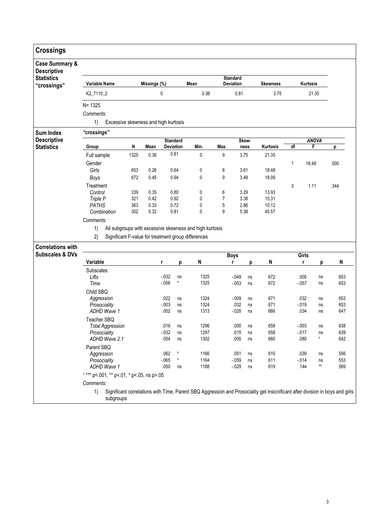| <b>Crossings</b>                                |                                                           |      |              |                  |          |                                                         |                |                                     |          |                                                                                                                               |    |                 |                       |            |
|-------------------------------------------------|-----------------------------------------------------------|------|--------------|------------------|----------|---------------------------------------------------------|----------------|-------------------------------------|----------|-------------------------------------------------------------------------------------------------------------------------------|----|-----------------|-----------------------|------------|
| <b>Case Summary &amp;</b><br><b>Descriptive</b> |                                                           |      |              |                  |          |                                                         |                |                                     |          |                                                                                                                               |    |                 |                       |            |
| <b>Statistics</b><br>"crossings"                | <b>Variable Name</b>                                      |      | Missings (%) |                  |          | Mean                                                    |                | <b>Standard</b><br><b>Deviation</b> |          | <b>Skewness</b>                                                                                                               |    | Kurtosis        |                       |            |
|                                                 | K2_7110_2                                                 |      | 0            |                  |          | 0.36                                                    |                | 0.81                                |          | 3.75                                                                                                                          |    |                 | 21.35                 |            |
|                                                 | $N = 1325$                                                |      |              |                  |          |                                                         |                |                                     |          |                                                                                                                               |    |                 |                       |            |
|                                                 | Comments:                                                 |      |              |                  |          |                                                         |                |                                     |          |                                                                                                                               |    |                 |                       |            |
|                                                 | 1)<br>Excessive skewness and high kurtosis                |      |              |                  |          |                                                         |                |                                     |          |                                                                                                                               |    |                 |                       |            |
| <b>Sum Index</b>                                | "crossings"                                               |      |              |                  |          |                                                         |                |                                     |          |                                                                                                                               |    |                 |                       |            |
| <b>Descriptive</b>                              |                                                           |      |              | <b>Standard</b>  |          |                                                         |                |                                     | Skew-    |                                                                                                                               |    |                 | <b>ANOVA</b>          |            |
| <b>Statistics</b>                               | Group                                                     | N    | Mean         | <b>Deviation</b> |          | Min.                                                    | Max.           |                                     | ness     | Kurtosis                                                                                                                      | df |                 | F                     | р          |
|                                                 | Full sample                                               | 1325 | 0.36         | 0.81             |          | 0                                                       | 9              | 3.75                                |          | 21.35                                                                                                                         |    |                 |                       |            |
|                                                 | Gender                                                    |      |              |                  |          |                                                         |                |                                     |          |                                                                                                                               | 1  | 18.48           |                       | .000       |
|                                                 | Girls                                                     | 653  | 0.26         | 0.64             |          | 0                                                       | 6              | 3.61                                |          | 18.48                                                                                                                         |    |                 |                       |            |
|                                                 | Boys                                                      | 672  | 0.45         | 0.94             |          | 0                                                       | 9              | 3.49                                |          | 18.09                                                                                                                         |    |                 |                       |            |
|                                                 | Treatment                                                 |      |              |                  |          |                                                         |                |                                     |          |                                                                                                                               | 3  | 1.11            |                       | .344       |
|                                                 | Control                                                   | 339  | 0.35         | 0.80             |          | 0                                                       | 6              | 3.29                                |          | 13.93                                                                                                                         |    |                 |                       |            |
|                                                 | Triple P                                                  | 321  | 0.42         | 0.92             |          | 0                                                       | $\overline{7}$ | 3.38                                |          | 15.31                                                                                                                         |    |                 |                       |            |
|                                                 | <b>PATHS</b>                                              | 363  | 0.33         | 0.72             |          | 0                                                       | 5              | 2.86                                |          | 10.12                                                                                                                         |    |                 |                       |            |
|                                                 | Combination                                               | 302  | 0.32         | 0.81             |          | 0                                                       | 9              | 5.38                                |          | 45.57                                                                                                                         |    |                 |                       |            |
|                                                 | Comments:                                                 |      |              |                  |          |                                                         |                |                                     |          |                                                                                                                               |    |                 |                       |            |
|                                                 | 1)                                                        |      |              |                  |          | All subgroups with excessive skewness and high kurtosis |                |                                     |          |                                                                                                                               |    |                 |                       |            |
|                                                 | 2)<br>Significant F-value for treatment group differences |      |              |                  |          |                                                         |                |                                     |          |                                                                                                                               |    |                 |                       |            |
| <b>Correlations with</b>                        |                                                           |      |              |                  |          |                                                         |                |                                     |          |                                                                                                                               |    |                 |                       |            |
| <b>Subscales &amp; DVs</b>                      |                                                           |      |              |                  |          |                                                         |                | <b>Boys</b>                         |          |                                                                                                                               |    | Girls           |                       |            |
|                                                 | Variable                                                  |      |              | r<br>p           |          | N                                                       |                | r                                   | р        | N                                                                                                                             |    | r               | р                     | N          |
|                                                 | Subscales                                                 |      |              |                  |          |                                                         |                |                                     |          |                                                                                                                               |    |                 |                       |            |
|                                                 | Lifts                                                     |      |              | $-0.32$          | ns       | 1325                                                    |                | $-.049$                             | ns       | 672                                                                                                                           |    | .000            | ns                    | 653        |
|                                                 | Time                                                      |      |              | $-0.056$         | ×        | 1325                                                    |                | $-0.053$                            | ns       | 672                                                                                                                           |    | $-057$          | ns                    | 653        |
|                                                 |                                                           |      |              |                  |          |                                                         |                |                                     |          |                                                                                                                               |    |                 |                       |            |
|                                                 | Child SBQ                                                 |      |              |                  |          |                                                         |                |                                     |          |                                                                                                                               |    |                 |                       |            |
|                                                 | Aggression                                                |      |              | .022<br>$-0.003$ | ns       | 1324<br>1324                                            |                | $-009$<br>.032                      | ns       | 671<br>671                                                                                                                    |    | .032<br>$-0.19$ | ns                    | 653<br>653 |
|                                                 | Prosociality<br>ADHD Wave 1                               |      |              | .002             | ns<br>ns | 1313                                                    |                | $-028$                              | ns<br>ns | 666                                                                                                                           |    | .034            | ns<br>ns              | 647        |
|                                                 |                                                           |      |              |                  |          |                                                         |                |                                     |          |                                                                                                                               |    |                 |                       |            |
|                                                 | Teacher SBQ                                               |      |              |                  |          |                                                         |                |                                     |          |                                                                                                                               |    |                 |                       |            |
|                                                 | <b>Total Aggression</b>                                   |      |              | .016             | ns       | 1296                                                    |                | .000                                | ns       | 658                                                                                                                           |    | $-.003$         | ns                    | 638        |
|                                                 | Prosociality                                              |      |              | $-0.32$          | ns       | 1297                                                    |                | .015                                | ns       | 658                                                                                                                           |    | $-0.017$        | ns<br>$^\star$        | 639        |
|                                                 | ADHD Wave 2.1                                             |      |              | .054             | ns       | 1302                                                    |                | .005                                | ns       | 660                                                                                                                           |    | .080            |                       | 642        |
|                                                 | Parent SBQ                                                |      |              |                  |          |                                                         |                |                                     |          |                                                                                                                               |    |                 |                       |            |
|                                                 | Aggression                                                |      |              | .062             | *        | 1166                                                    |                | .051                                | ns       | 610                                                                                                                           |    | .039            | ns                    | 556        |
|                                                 |                                                           |      |              | $-065$           | $^\star$ | 1164                                                    |                | $-0.059$                            | ns       | 611<br>619                                                                                                                    |    | $-014$          | ns<br>$^{\star\star}$ | 553        |
|                                                 | Prosociality                                              |      |              |                  |          |                                                         |                | $-0.029$                            | ns       |                                                                                                                               |    | .144            |                       |            |
|                                                 | ADHD Wave 1                                               |      |              | .050             | ns       | 1188                                                    |                |                                     |          |                                                                                                                               |    |                 |                       | 569        |
|                                                 | $1***$ p<.001, ** p<.01, * p<.05, ns p>.05                |      |              |                  |          |                                                         |                |                                     |          |                                                                                                                               |    |                 |                       |            |
|                                                 | Comments:                                                 |      |              |                  |          |                                                         |                |                                     |          |                                                                                                                               |    |                 |                       |            |
|                                                 | 1)                                                        |      |              |                  |          |                                                         |                |                                     |          | Significant correlations with Time, Parent SBQ Aggression and Prosociality get insicnificant after division in boys and girls |    |                 |                       |            |